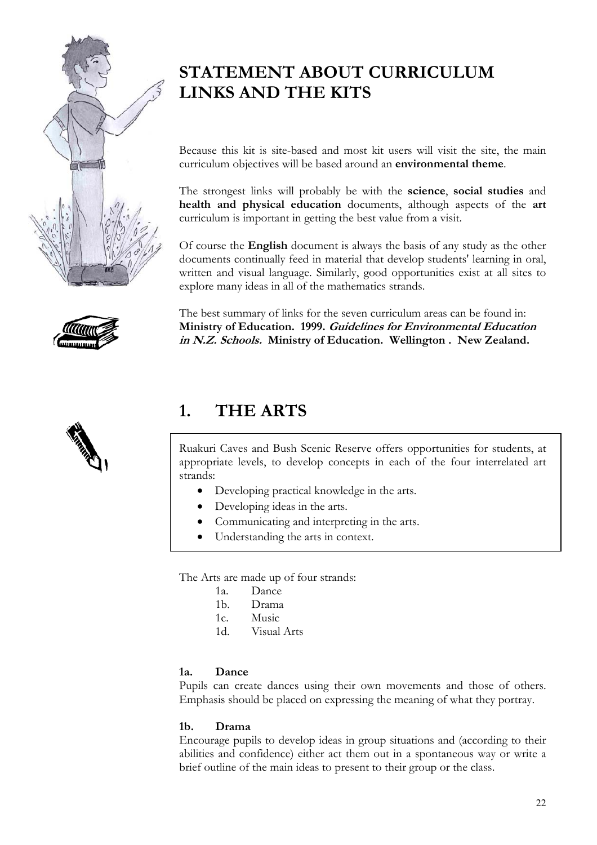



# **STATEMENT ABOUT CURRICULUM LINKS AND THE KITS**

Because this kit is site-based and most kit users will visit the site, the main curriculum objectives will be based around an **environmental theme**.

The strongest links will probably be with the **science**, **social studies** and **health and physical education** documents, although aspects of the **art** curriculum is important in getting the best value from a visit.

Of course the **English** document is always the basis of any study as the other documents continually feed in material that develop students' learning in oral, written and visual language. Similarly, good opportunities exist at all sites to explore many ideas in all of the mathematics strands.

The best summary of links for the seven curriculum areas can be found in: **Ministry of Education. 1999. Guidelines for Environmental Education in N.Z. Schools. Ministry of Education. Wellington . New Zealand.** 

# **1. THE ARTS**

Ruakuri Caves and Bush Scenic Reserve offers opportunities for students, at appropriate levels, to develop concepts in each of the four interrelated art strands:

- Developing practical knowledge in the arts.
- Developing ideas in the arts.
- Communicating and interpreting in the arts.
- Understanding the arts in context.

The Arts are made up of four strands:

- 1a. Dance
- 1b. Drama
- 1c. Music
- 1d. Visual Arts

### **1a. Dance**

Pupils can create dances using their own movements and those of others. Emphasis should be placed on expressing the meaning of what they portray.

### **1b. Drama**

Encourage pupils to develop ideas in group situations and (according to their abilities and confidence) either act them out in a spontaneous way or write a brief outline of the main ideas to present to their group or the class.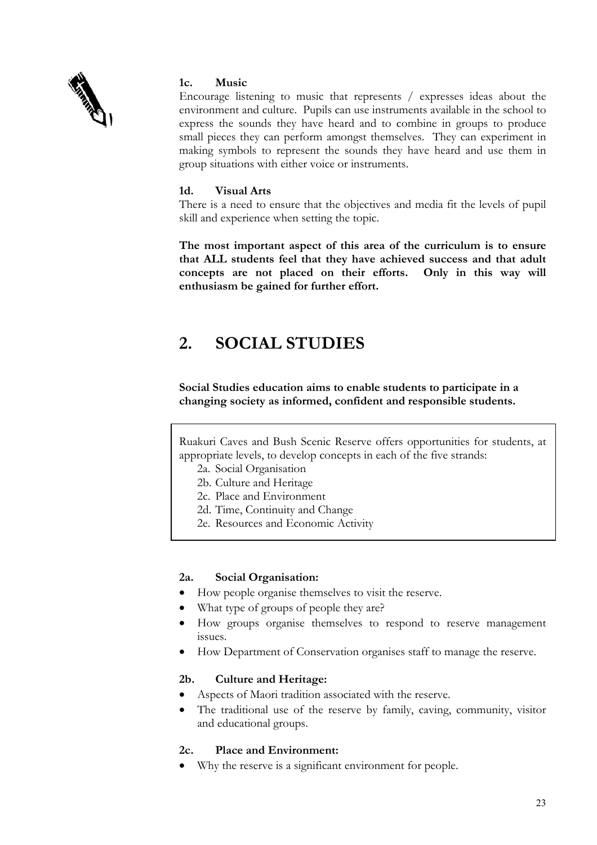

### **1c. Music**

Encourage listening to music that represents / expresses ideas about the environment and culture. Pupils can use instruments available in the school to express the sounds they have heard and to combine in groups to produce small pieces they can perform amongst themselves. They can experiment in making symbols to represent the sounds they have heard and use them in group situations with either voice or instruments.

### **1d. Visual Arts**

There is a need to ensure that the objectives and media fit the levels of pupil skill and experience when setting the topic.

**The most important aspect of this area of the curriculum is to ensure that ALL students feel that they have achieved success and that adult concepts are not placed on their efforts. Only in this way will enthusiasm be gained for further effort.** 

# **2. SOCIAL STUDIES**

**Social Studies education aims to enable students to participate in a changing society as informed, confident and responsible students.** 

Ruakuri Caves and Bush Scenic Reserve offers opportunities for students, at appropriate levels, to develop concepts in each of the five strands:

- 2a. Social Organisation
- 2b. Culture and Heritage
- 2c. Place and Environment
- 2d. Time, Continuity and Change
- 2e. Resources and Economic Activity

### **2a. Social Organisation:**

- How people organise themselves to visit the reserve.
- What type of groups of people they are?
- How groups organise themselves to respond to reserve management issues.
- How Department of Conservation organises staff to manage the reserve.

### **2b. Culture and Heritage:**

- Aspects of Maori tradition associated with the reserve.
- The traditional use of the reserve by family, caving, community, visitor and educational groups.

### **2c. Place and Environment:**

• Why the reserve is a significant environment for people.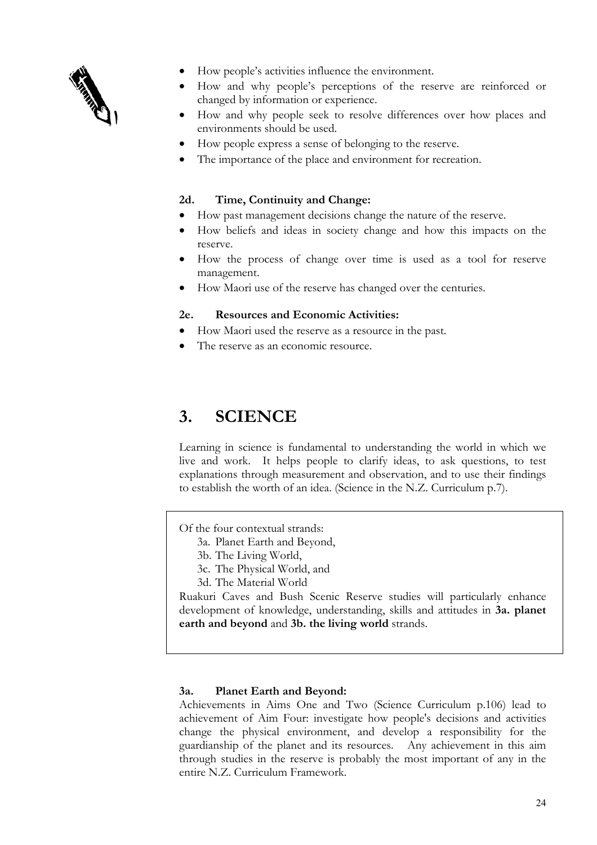

- How people's activities influence the environment.
- How and why people's perceptions of the reserve are reinforced or changed by information or experience.
- How and why people seek to resolve differences over how places and environments should be used.
- How people express a sense of belonging to the reserve.
- The importance of the place and environment for recreation.

### **2d. Time, Continuity and Change:**

- How past management decisions change the nature of the reserve.
- How beliefs and ideas in society change and how this impacts on the reserve.
- How the process of change over time is used as a tool for reserve management.
- How Maori use of the reserve has changed over the centuries.

#### **2e. Resources and Economic Activities:**

- How Maori used the reserve as a resource in the past.
- The reserve as an economic resource.

# **3. SCIENCE**

Learning in science is fundamental to understanding the world in which we live and work. It helps people to clarify ideas, to ask questions, to test explanations through measurement and observation, and to use their findings to establish the worth of an idea. (Science in the N.Z. Curriculum p.7).

Of the four contextual strands:

- 3a. Planet Earth and Beyond,
- 3b. The Living World,
- 3c. The Physical World, and
- 3d. The Material World

Ruakuri Caves and Bush Scenic Reserve studies will particularly enhance development of knowledge, understanding, skills and attitudes in **3a. planet earth and beyond** and **3b. the living world** strands.

### **3a. Planet Earth and Beyond:**

Achievements in Aims One and Two (Science Curriculum p.106) lead to achievement of Aim Four: investigate how people's decisions and activities change the physical environment, and develop a responsibility for the guardianship of the planet and its resources. Any achievement in this aim through studies in the reserve is probably the most important of any in the entire N.Z. Curriculum Framework.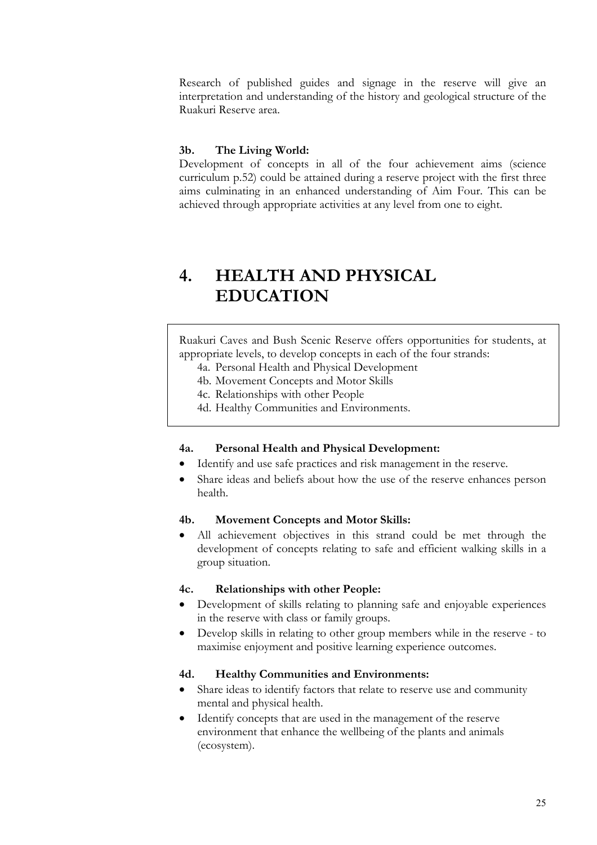Research of published guides and signage in the reserve will give an interpretation and understanding of the history and geological structure of the Ruakuri Reserve area.

#### **3b. The Living World:**

Development of concepts in all of the four achievement aims (science curriculum p.52) could be attained during a reserve project with the first three aims culminating in an enhanced understanding of Aim Four. This can be achieved through appropriate activities at any level from one to eight.

# **4. HEALTH AND PHYSICAL EDUCATION**

Ruakuri Caves and Bush Scenic Reserve offers opportunities for students, at appropriate levels, to develop concepts in each of the four strands:

- 4a. Personal Health and Physical Development
- 4b. Movement Concepts and Motor Skills
- 4c. Relationships with other People
- 4d. Healthy Communities and Environments.

#### **4a. Personal Health and Physical Development:**

- Identify and use safe practices and risk management in the reserve.
- Share ideas and beliefs about how the use of the reserve enhances person health.

#### **4b. Movement Concepts and Motor Skills:**

All achievement objectives in this strand could be met through the development of concepts relating to safe and efficient walking skills in a group situation.

#### **4c. Relationships with other People:**

- Development of skills relating to planning safe and enjoyable experiences in the reserve with class or family groups.
- Develop skills in relating to other group members while in the reserve to maximise enjoyment and positive learning experience outcomes.

#### **4d. Healthy Communities and Environments:**

- Share ideas to identify factors that relate to reserve use and community mental and physical health.
- Identify concepts that are used in the management of the reserve environment that enhance the wellbeing of the plants and animals (ecosystem).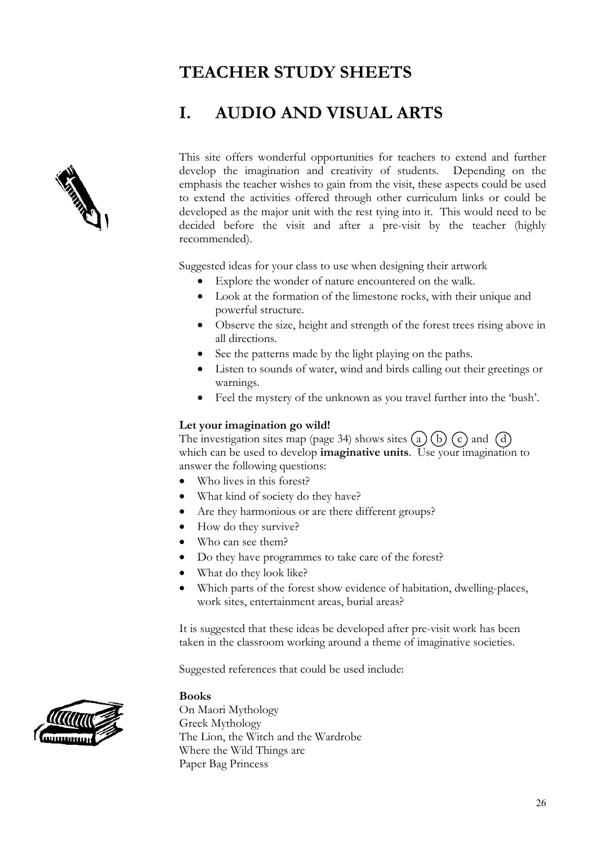# **TEACHER STUDY SHEETS**

# **I. AUDIO AND VISUAL ARTS**



This site offers wonderful opportunities for teachers to extend and further develop the imagination and creativity of students. Depending on the emphasis the teacher wishes to gain from the visit, these aspects could be used to extend the activities offered through other curriculum links or could be developed as the major unit with the rest tying into it. This would need to be decided before the visit and after a pre-visit by the teacher (highly recommended).

Suggested ideas for your class to use when designing their artwork

- Explore the wonder of nature encountered on the walk.
- Look at the formation of the limestone rocks, with their unique and powerful structure.
- Observe the size, height and strength of the forest trees rising above in all directions.
- See the patterns made by the light playing on the paths.
- Listen to sounds of water, wind and birds calling out their greetings or warnings.
- Feel the mystery of the unknown as you travel further into the 'bush'.

#### **Let your imagination go wild!**

The investigation sites map (page 34) shows sites (a) (b) (c) and (d) which can be used to develop **imaginative units**. Use your imagination to answer the following questions:

- Who lives in this forest?
- What kind of society do they have?
- Are they harmonious or are there different groups?
- How do they survive?
- Who can see them?
- Do they have programmes to take care of the forest?
- What do they look like?
- Which parts of the forest show evidence of habitation, dwelling-places, work sites, entertainment areas, burial areas?

It is suggested that these ideas be developed after pre-visit work has been taken in the classroom working around a theme of imaginative societies.

Suggested references that could be used include:

#### **Books**

On Maori Mythology Greek Mythology The Lion, the Witch and the Wardrobe Where the Wild Things are Paper Bag Princess

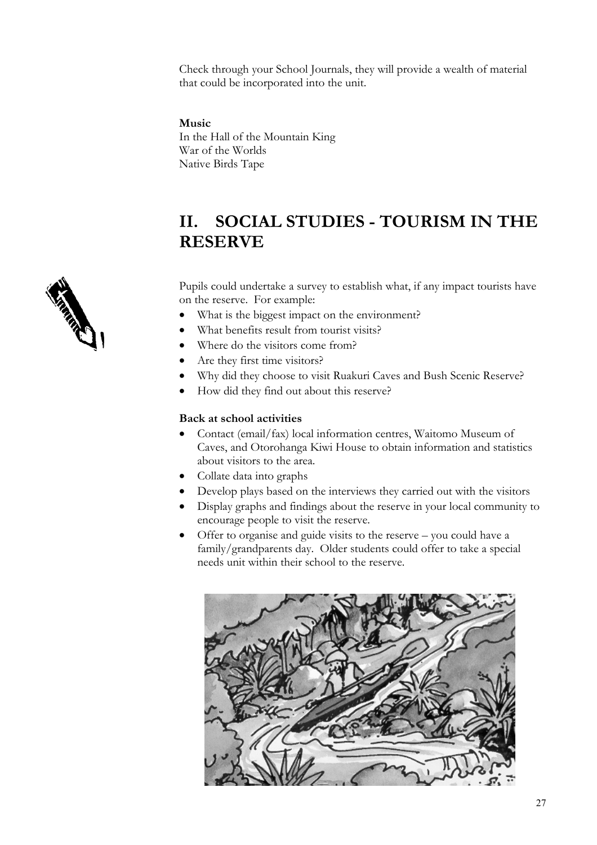Check through your School Journals, they will provide a wealth of material that could be incorporated into the unit.

### **Music**

In the Hall of the Mountain King War of the Worlds Native Birds Tape

# **II. SOCIAL STUDIES - TOURISM IN THE RESERVE**

Pupils could undertake a survey to establish what, if any impact tourists have on the reserve. For example:

- What is the biggest impact on the environment?
- What benefits result from tourist visits?
- Where do the visitors come from?
- Are they first time visitors?
- Why did they choose to visit Ruakuri Caves and Bush Scenic Reserve?
- How did they find out about this reserve?

### **Back at school activities**

- Contact (email/fax) local information centres, Waitomo Museum of Caves, and Otorohanga Kiwi House to obtain information and statistics about visitors to the area.
- Collate data into graphs
- Develop plays based on the interviews they carried out with the visitors
- Display graphs and findings about the reserve in your local community to encourage people to visit the reserve.
- Offer to organise and guide visits to the reserve you could have a family/grandparents day. Older students could offer to take a special needs unit within their school to the reserve.



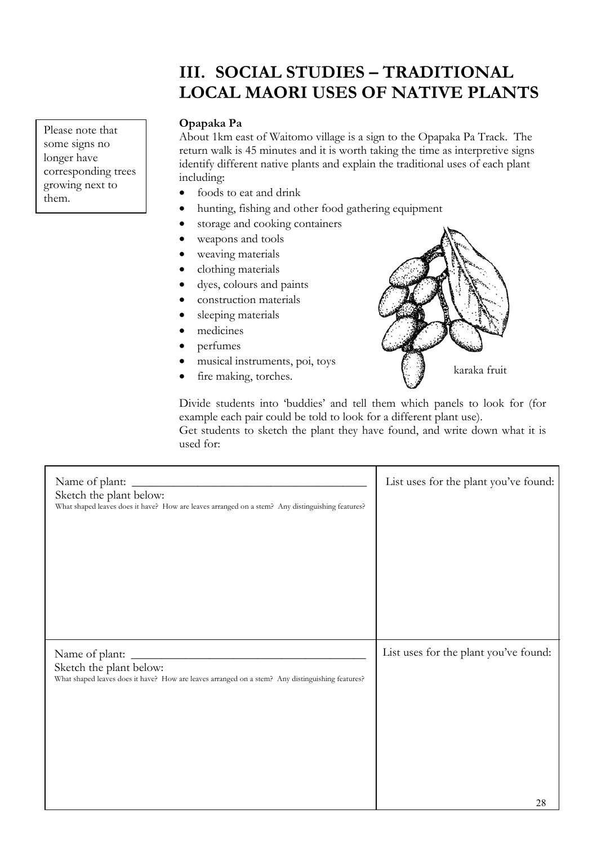# **III. SOCIAL STUDIES – TRADITIONAL LOCAL MAORI USES OF NATIVE PLANTS**

About 1km east of Waitomo village is a sign to the Opapaka Pa Track. The return walk is 45 minutes and it is worth taking the time as interpretive signs identify different native plants and explain the traditional uses of each plant including:

- foods to eat and drink
- hunting, fishing and other food gathering equipment
- storage and cooking containers
- weapons and tools
- weaving materials
- clothing materials
- dyes, colours and paints
- construction materials
- sleeping materials
- medicines
- perfumes
- musical instruments, poi, toys
- fire making, torches.



Divide students into 'buddies' and tell them which panels to look for (for example each pair could be told to look for a different plant use).

Get students to sketch the plant they have found, and write down what it is used for:

| Name of plant:<br>Sketch the plant below:<br>What shaped leaves does it have? How are leaves arranged on a stem? Any distinguishing features? | List uses for the plant you've found:       |
|-----------------------------------------------------------------------------------------------------------------------------------------------|---------------------------------------------|
| Name of plant:<br>Sketch the plant below:<br>What shaped leaves does it have? How are leaves arranged on a stem? Any distinguishing features? | List uses for the plant you've found:<br>28 |

**Please note that Opapaka Pa** some signs no longer have corresponding trees growing next to them.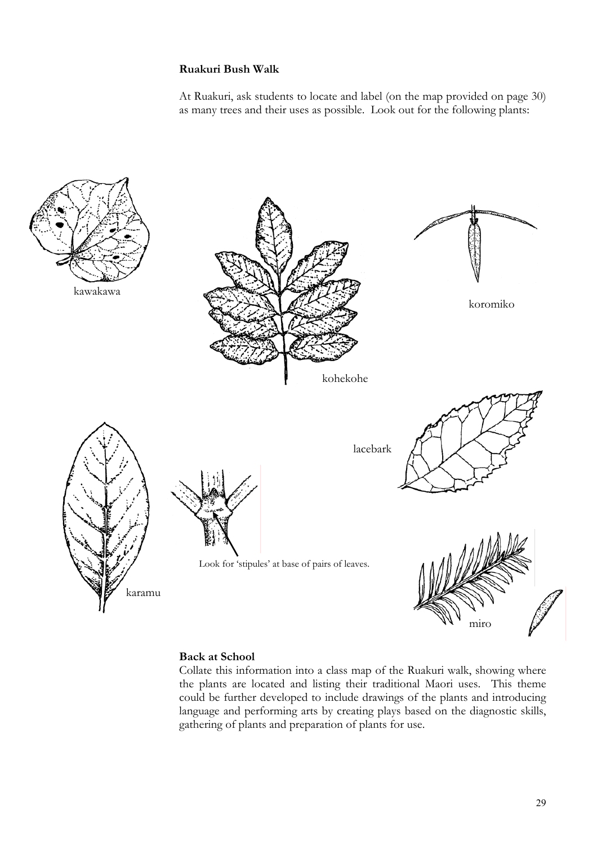#### **Ruakuri Bush Walk**

At Ruakuri, ask students to locate and label (on the map provided on page 30) as many trees and their uses as possible. Look out for the following plants:



### **Back at School**

Collate this information into a class map of the Ruakuri walk, showing where the plants are located and listing their traditional Maori uses. This theme could be further developed to include drawings of the plants and introducing language and performing arts by creating plays based on the diagnostic skills, gathering of plants and preparation of plants for use.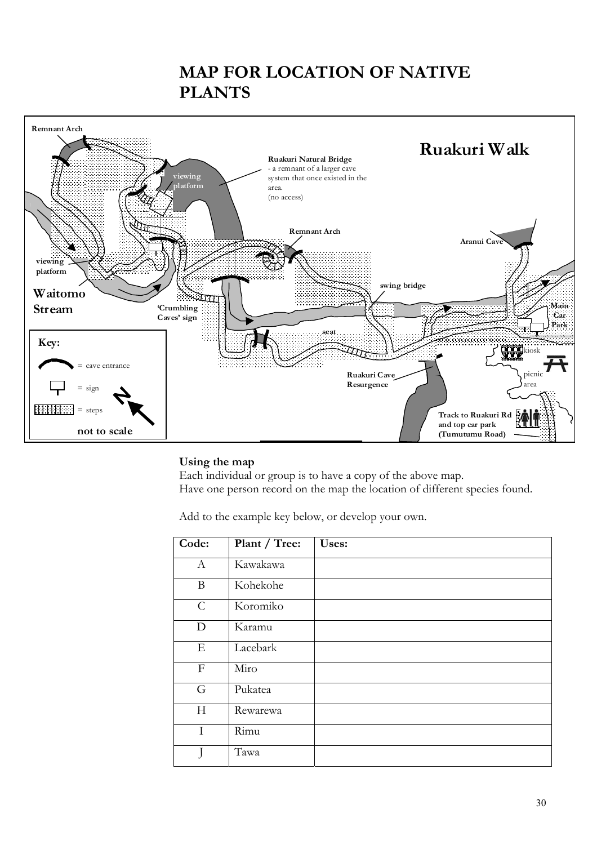# **MAP FOR LOCATION OF NATIVE PLANTS**



#### **Using the map**

Each individual or group is to have a copy of the above map. Have one person record on the map the location of different species found.

Add to the example key below, or develop your own.

| Code:         | Plant / Tree: | Uses: |
|---------------|---------------|-------|
| $\mathbf{A}$  | Kawakawa      |       |
| B             | Kohekohe      |       |
| $\mathcal{C}$ | Koromiko      |       |
| D             | Karamu        |       |
| Ε             | Lacebark      |       |
| $\mathbf{F}$  | Miro          |       |
| G             | Pukatea       |       |
| H             | Rewarewa      |       |
| I             | Rimu          |       |
|               | Tawa          |       |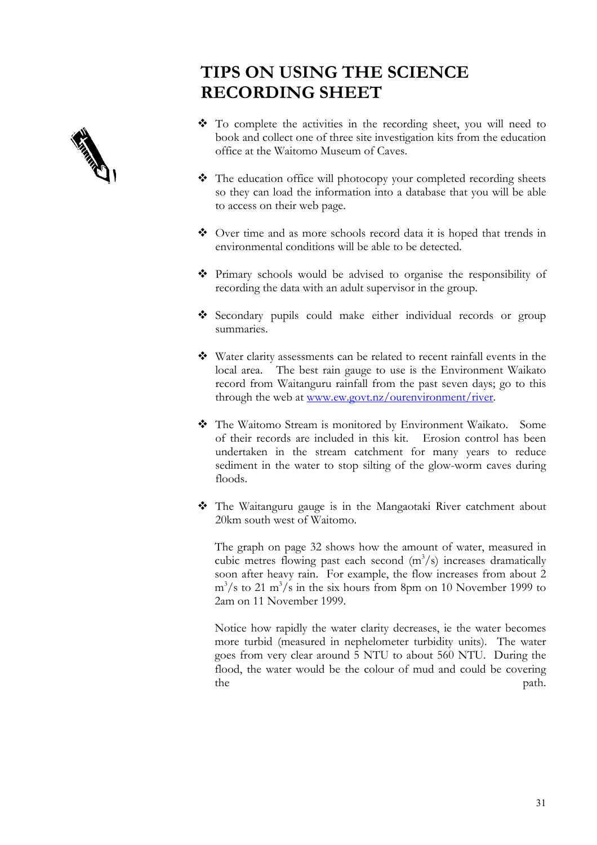# **TIPS ON USING THE SCIENCE RECORDING SHEET**



- To complete the activities in the recording sheet, you will need to book and collect one of three site investigation kits from the education office at the Waitomo Museum of Caves.
- The education office will photocopy your completed recording sheets so they can load the information into a database that you will be able to access on their web page.
- Over time and as more schools record data it is hoped that trends in environmental conditions will be able to be detected.
- Primary schools would be advised to organise the responsibility of recording the data with an adult supervisor in the group.
- Secondary pupils could make either individual records or group summaries.
- Water clarity assessments can be related to recent rainfall events in the local area. The best rain gauge to use is the Environment Waikato record from Waitanguru rainfall from the past seven days; go to this through the web at <u>www.ew.govt.nz/ourenvironment/river</u>.
- The Waitomo Stream is monitored by Environment Waikato. Some of their records are included in this kit. Erosion control has been undertaken in the stream catchment for many years to reduce sediment in the water to stop silting of the glow-worm caves during floods.
- The Waitanguru gauge is in the Mangaotaki River catchment about 20km south west of Waitomo.

The graph on page 32 shows how the amount of water, measured in cubic metres flowing past each second  $(m^3/s)$  increases dramatically soon after heavy rain. For example, the flow increases from about 2  $\text{m}^3/\text{s}$  to 21 m<sup>3</sup>/s in the six hours from 8pm on 10 November 1999 to 2am on 11 November 1999.

Notice how rapidly the water clarity decreases, ie the water becomes more turbid (measured in nephelometer turbidity units). The water goes from very clear around 5 NTU to about 560 NTU. During the flood, the water would be the colour of mud and could be covering the path.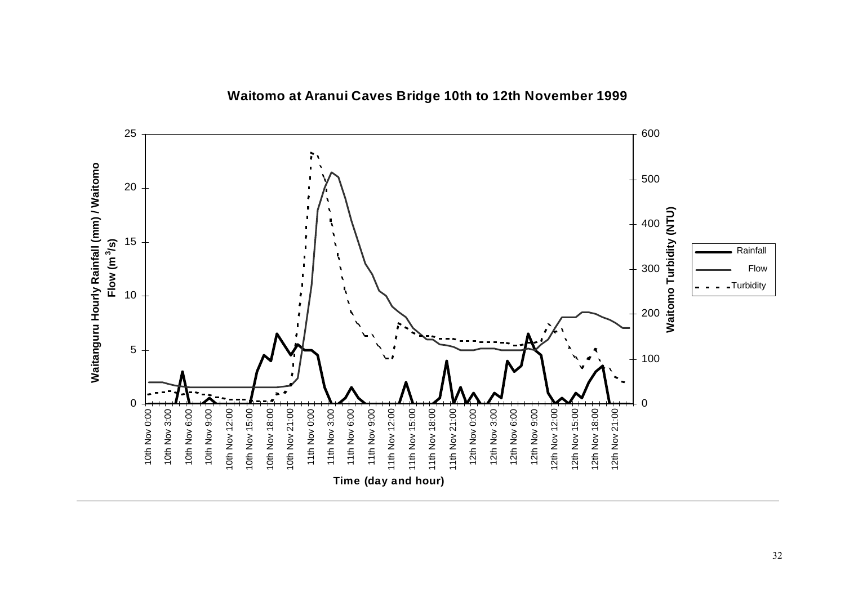

## **Waitomo at Aranui Caves Bridge 10th to 12th November 1999**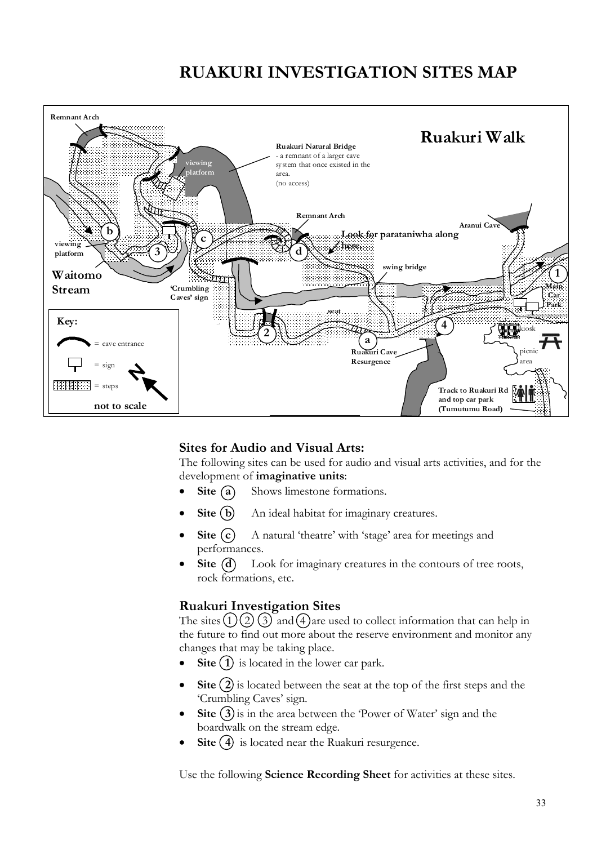# **RUAKURI INVESTIGATION SITES MAP**



### **Sites for Audio and Visual Arts:**

The following sites can be used for audio and visual arts activities, and for the development of **imaginative units**:

- **Site (a)** Shows limestone formations.
- **Site (b)** An ideal habitat for imaginary creatures.
- **Site**  $(c)$  A natural 'theatre' with 'stage' area for meetings and performances.
- **Site (d)** Look for imaginary creatures in the contours of tree roots, rock formations, etc.

### **Ruakuri Investigation Sites**

The sites  $(1)(2)(3)$  and  $(4)$  are used to collect information that can help in the future to find out more about the reserve environment and monitor any changes that may be taking place.

- **Site (1)** is located in the lower car park.
- **Site (2)** is located between the seat at the top of the first steps and the 'Crumbling Caves' sign.
- **Site (3)** is in the area between the 'Power of Water' sign and the boardwalk on the stream edge.
- **Site (4)** is located near the Ruakuri resurgence.

Use the following **Science Recording Sheet** for activities at these sites.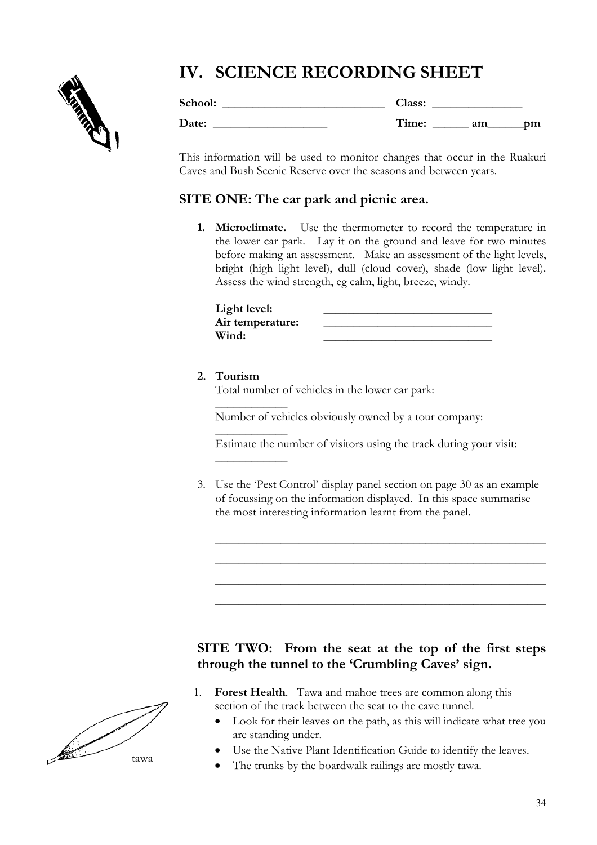# **IV. SCIENCE RECORDING SHEET**



| School: | Class: |          |
|---------|--------|----------|
| Date:   | Time:  | am<br>pm |

This information will be used to monitor changes that occur in the Ruakuri Caves and Bush Scenic Reserve over the seasons and between years.

### **SITE ONE: The car park and picnic area.**

**1. Microclimate.** Use the thermometer to record the temperature in the lower car park. Lay it on the ground and leave for two minutes before making an assessment. Make an assessment of the light levels, bright (high light level), dull (cloud cover), shade (low light level). Assess the wind strength, eg calm, light, breeze, windy.

| Light level:     |  |
|------------------|--|
| Air temperature: |  |
| Wind:            |  |

### **2. Tourism**

 $\overline{\phantom{a}}$ 

 $\overline{\phantom{a}}$ 

 $\overline{\phantom{a}}$ 

Total number of vehicles in the lower car park:

Number of vehicles obviously owned by a tour company:

Estimate the number of visitors using the track during your visit:

3. Use the 'Pest Control' display panel section on page 30 as an example of focussing on the information displayed. In this space summarise the most interesting information learnt from the panel.

\_\_\_\_\_\_\_\_\_\_\_\_\_\_\_\_\_\_\_\_\_\_\_\_\_\_\_\_\_\_\_\_\_\_\_\_\_\_\_\_\_\_\_\_\_\_\_\_\_\_\_\_\_\_\_

\_\_\_\_\_\_\_\_\_\_\_\_\_\_\_\_\_\_\_\_\_\_\_\_\_\_\_\_\_\_\_\_\_\_\_\_\_\_\_\_\_\_\_\_\_\_\_\_\_\_\_\_\_\_\_

\_\_\_\_\_\_\_\_\_\_\_\_\_\_\_\_\_\_\_\_\_\_\_\_\_\_\_\_\_\_\_\_\_\_\_\_\_\_\_\_\_\_\_\_\_\_\_\_\_\_\_\_\_\_\_

\_\_\_\_\_\_\_\_\_\_\_\_\_\_\_\_\_\_\_\_\_\_\_\_\_\_\_\_\_\_\_\_\_\_\_\_\_\_\_\_\_\_\_\_\_\_\_\_\_\_\_\_\_\_\_

### **SITE TWO: From the seat at the top of the first steps through the tunnel to the 'Crumbling Caves' sign.**



- 1. **Forest Health**. Tawa and mahoe trees are common along this section of the track between the seat to the cave tunnel.
	- Look for their leaves on the path, as this will indicate what tree you are standing under.
	- Use the Native Plant Identification Guide to identify the leaves.
	- The trunks by the boardwalk railings are mostly tawa.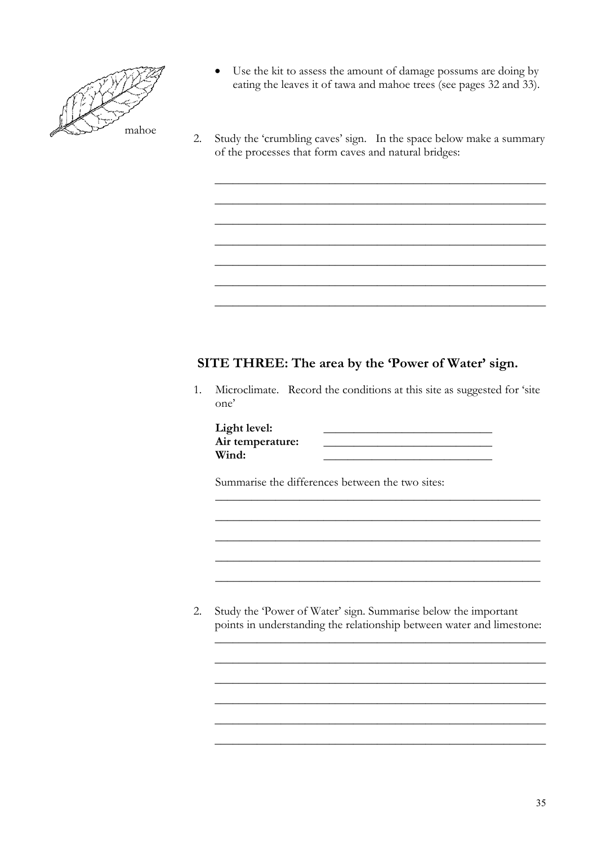

- Use the kit to assess the amount of damage possums are doing by eating the leaves it of tawa and mahoe trees (see pages 32 and 33).
- 2. Study the 'crumbling caves' sign. In the space below make a summary of the processes that form caves and natural bridges:

\_\_\_\_\_\_\_\_\_\_\_\_\_\_\_\_\_\_\_\_\_\_\_\_\_\_\_\_\_\_\_\_\_\_\_\_\_\_\_\_\_\_\_\_\_\_\_\_\_\_\_\_\_\_\_

\_\_\_\_\_\_\_\_\_\_\_\_\_\_\_\_\_\_\_\_\_\_\_\_\_\_\_\_\_\_\_\_\_\_\_\_\_\_\_\_\_\_\_\_\_\_\_\_\_\_\_\_\_\_\_

\_\_\_\_\_\_\_\_\_\_\_\_\_\_\_\_\_\_\_\_\_\_\_\_\_\_\_\_\_\_\_\_\_\_\_\_\_\_\_\_\_\_\_\_\_\_\_\_\_\_\_\_\_\_\_

\_\_\_\_\_\_\_\_\_\_\_\_\_\_\_\_\_\_\_\_\_\_\_\_\_\_\_\_\_\_\_\_\_\_\_\_\_\_\_\_\_\_\_\_\_\_\_\_\_\_\_\_\_\_\_

\_\_\_\_\_\_\_\_\_\_\_\_\_\_\_\_\_\_\_\_\_\_\_\_\_\_\_\_\_\_\_\_\_\_\_\_\_\_\_\_\_\_\_\_\_\_\_\_\_\_\_\_\_\_\_

\_\_\_\_\_\_\_\_\_\_\_\_\_\_\_\_\_\_\_\_\_\_\_\_\_\_\_\_\_\_\_\_\_\_\_\_\_\_\_\_\_\_\_\_\_\_\_\_\_\_\_\_\_\_\_

\_\_\_\_\_\_\_\_\_\_\_\_\_\_\_\_\_\_\_\_\_\_\_\_\_\_\_\_\_\_\_\_\_\_\_\_\_\_\_\_\_\_\_\_\_\_\_\_\_\_\_\_\_\_\_

### **SITE THREE: The area by the 'Power of Water' sign.**

1. Microclimate. Record the conditions at this site as suggested for 'site one'

\_\_\_\_\_\_\_\_\_\_\_\_\_\_\_\_\_\_\_\_\_\_\_\_\_\_\_\_\_\_\_\_\_\_\_\_\_\_\_\_\_\_\_\_\_\_\_\_\_\_\_\_\_\_

\_\_\_\_\_\_\_\_\_\_\_\_\_\_\_\_\_\_\_\_\_\_\_\_\_\_\_\_\_\_\_\_\_\_\_\_\_\_\_\_\_\_\_\_\_\_\_\_\_\_\_\_\_\_

\_\_\_\_\_\_\_\_\_\_\_\_\_\_\_\_\_\_\_\_\_\_\_\_\_\_\_\_\_\_\_\_\_\_\_\_\_\_\_\_\_\_\_\_\_\_\_\_\_\_\_\_\_\_

\_\_\_\_\_\_\_\_\_\_\_\_\_\_\_\_\_\_\_\_\_\_\_\_\_\_\_\_\_\_\_\_\_\_\_\_\_\_\_\_\_\_\_\_\_\_\_\_\_\_\_\_\_\_

\_\_\_\_\_\_\_\_\_\_\_\_\_\_\_\_\_\_\_\_\_\_\_\_\_\_\_\_\_\_\_\_\_\_\_\_\_\_\_\_\_\_\_\_\_\_\_\_\_\_\_\_\_\_

\_\_\_\_\_\_\_\_\_\_\_\_\_\_\_\_\_\_\_\_\_\_\_\_\_\_\_\_\_\_\_\_\_\_\_\_\_\_\_\_\_\_\_\_\_\_\_\_\_\_\_\_\_\_\_

\_\_\_\_\_\_\_\_\_\_\_\_\_\_\_\_\_\_\_\_\_\_\_\_\_\_\_\_\_\_\_\_\_\_\_\_\_\_\_\_\_\_\_\_\_\_\_\_\_\_\_\_\_\_\_

\_\_\_\_\_\_\_\_\_\_\_\_\_\_\_\_\_\_\_\_\_\_\_\_\_\_\_\_\_\_\_\_\_\_\_\_\_\_\_\_\_\_\_\_\_\_\_\_\_\_\_\_\_\_\_

\_\_\_\_\_\_\_\_\_\_\_\_\_\_\_\_\_\_\_\_\_\_\_\_\_\_\_\_\_\_\_\_\_\_\_\_\_\_\_\_\_\_\_\_\_\_\_\_\_\_\_\_\_\_\_

\_\_\_\_\_\_\_\_\_\_\_\_\_\_\_\_\_\_\_\_\_\_\_\_\_\_\_\_\_\_\_\_\_\_\_\_\_\_\_\_\_\_\_\_\_\_\_\_\_\_\_\_\_\_\_

\_\_\_\_\_\_\_\_\_\_\_\_\_\_\_\_\_\_\_\_\_\_\_\_\_\_\_\_\_\_\_\_\_\_\_\_\_\_\_\_\_\_\_\_\_\_\_\_\_\_\_\_\_\_\_

| Light level:     |  |
|------------------|--|
| Air temperature: |  |
| Wind:            |  |

Summarise the differences between the two sites:

2. Study the 'Power of Water' sign. Summarise below the important points in understanding the relationship between water and limestone: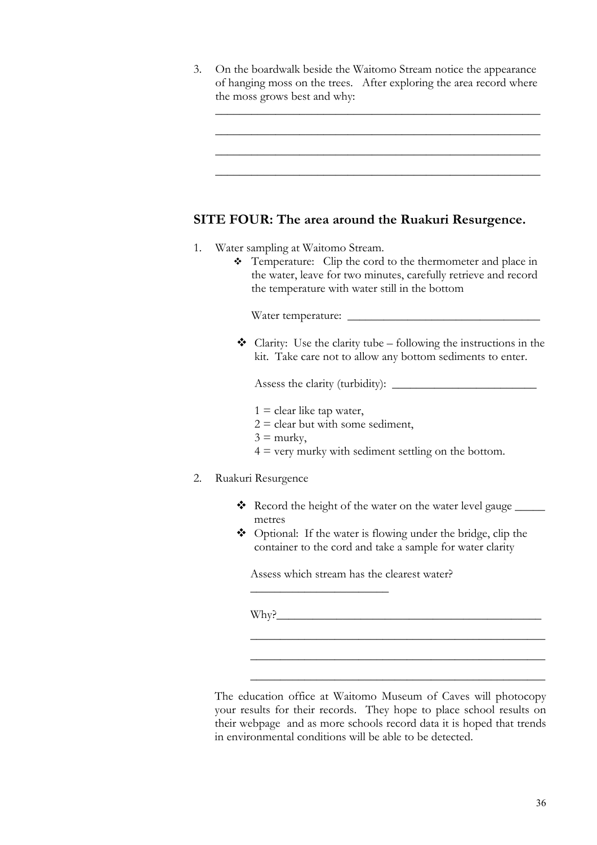3. On the boardwalk beside the Waitomo Stream notice the appearance of hanging moss on the trees. After exploring the area record where the moss grows best and why:

\_\_\_\_\_\_\_\_\_\_\_\_\_\_\_\_\_\_\_\_\_\_\_\_\_\_\_\_\_\_\_\_\_\_\_\_\_\_\_\_\_\_\_\_\_\_\_\_\_\_\_\_\_\_

\_\_\_\_\_\_\_\_\_\_\_\_\_\_\_\_\_\_\_\_\_\_\_\_\_\_\_\_\_\_\_\_\_\_\_\_\_\_\_\_\_\_\_\_\_\_\_\_\_\_\_\_\_\_

\_\_\_\_\_\_\_\_\_\_\_\_\_\_\_\_\_\_\_\_\_\_\_\_\_\_\_\_\_\_\_\_\_\_\_\_\_\_\_\_\_\_\_\_\_\_\_\_\_\_\_\_\_\_

\_\_\_\_\_\_\_\_\_\_\_\_\_\_\_\_\_\_\_\_\_\_\_\_\_\_\_\_\_\_\_\_\_\_\_\_\_\_\_\_\_\_\_\_\_\_\_\_\_\_\_\_\_\_

## **SITE FOUR: The area around the Ruakuri Resurgence.**

- 1. Water sampling at Waitomo Stream.
	- \* Temperature: Clip the cord to the thermometer and place in the water, leave for two minutes, carefully retrieve and record the temperature with water still in the bottom

Water temperature:

 $\triangleleft$  Clarity: Use the clarity tube – following the instructions in the kit. Take care not to allow any bottom sediments to enter.

Assess the clarity (turbidity):  $\sqrt{\frac{2}{n}}$ 

- $1 =$  clear like tap water,
- $2 =$  clear but with some sediment,
- $3 =$  murky,
- $4 =$  very murky with sediment settling on the bottom.

#### 2. Ruakuri Resurgence

- $\triangle$  Record the height of the water on the water level gauge metres
- ◆ Optional: If the water is flowing under the bridge, clip the container to the cord and take a sample for water clarity

\_\_\_\_\_\_\_\_\_\_\_\_\_\_\_\_\_\_\_\_\_\_\_\_\_\_\_\_\_\_\_\_\_\_\_\_\_\_\_\_\_\_\_\_\_\_\_\_\_

\_\_\_\_\_\_\_\_\_\_\_\_\_\_\_\_\_\_\_\_\_\_\_\_\_\_\_\_\_\_\_\_\_\_\_\_\_\_\_\_\_\_\_\_\_\_\_\_\_

\_\_\_\_\_\_\_\_\_\_\_\_\_\_\_\_\_\_\_\_\_\_\_\_\_\_\_\_\_\_\_\_\_\_\_\_\_\_\_\_\_\_\_\_\_\_\_\_\_

Assess which stream has the clearest water?

\_\_\_\_\_\_\_\_\_\_\_\_\_\_\_\_\_\_\_\_\_\_\_

 $W$ hy?

The education office at Waitomo Museum of Caves will photocopy your results for their records. They hope to place school results on their webpage and as more schools record data it is hoped that trends in environmental conditions will be able to be detected.